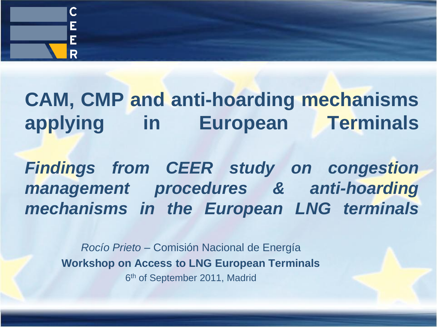

# **CAM, CMP and anti-hoarding mechanisms applying in European Terminals**

*Findings from CEER study on congestion management procedures & anti-hoarding mechanisms in the European LNG terminals*

*Rocío Prieto* – Comisión Nacional de Energía **Workshop on Access to LNG European Terminals** 6<sup>th</sup> of September 2011, Madrid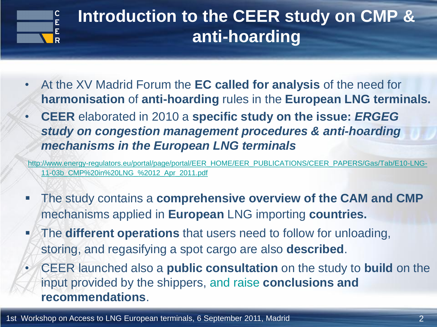

### **Introduction to the CEER study on CMP & anti-hoarding**

- At the XV Madrid Forum the **EC called for analysis** of the need for **harmonisation** of **anti-hoarding** rules in the **European LNG terminals.**
- **CEER** elaborated in 2010 a **specific study on the issue:** *ERGEG study on congestion management procedures & anti-hoarding mechanisms in the European LNG terminals*

[http://www.energy-regulators.eu/portal/page/portal/EER\\_HOME/EER\\_PUBLICATIONS/CEER\\_PAPERS/Gas/Tab/E10-LNG-](http://www.energy-regulators.eu/portal/page/portal/EER_HOME/EER_PUBLICATIONS/CEER_PAPERS/Gas/Tab/E10-LNG-11-03b_CMP in LNG_ 12_Apr_2011.pdf)[11-03b\\_CMP%20in%20LNG\\_%2012\\_Apr\\_2011.pdf](http://www.energy-regulators.eu/portal/page/portal/EER_HOME/EER_PUBLICATIONS/CEER_PAPERS/Gas/Tab/E10-LNG-11-03b_CMP in LNG_ 12_Apr_2011.pdf)

- The study contains a **comprehensive overview of the CAM and CMP**  mechanisms applied in **European** LNG importing **countries.**
- **The different operations** that users need to follow for unloading, storing, and regasifying a spot cargo are also **described**.
- CEER launched also a **public consultation** on the study to **build** on the input provided by the shippers, and raise **conclusions and recommendations**.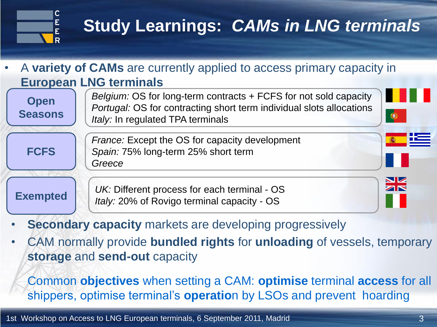

# **Study Learnings:** *CAMs in LNG terminals*

#### • A **variety of CAMs** are currently applied to access primary capacity in **European LNG terminals**

**Open Seasons**

**FCFS**

*Belgium:* OS for long-term contracts + FCFS for not sold capacity *Portugal:* OS for contracting short term individual slots allocations *Italy: In regulated TPA terminals* 

*France:* Except the OS for capacity development *Spain:* 75% long-term 25% short term *Greece*

**Exempted** *UK:* Different process for each terminal - OS *Italy:* 20% of Rovigo terminal capacity - OS

- **Secondary capacity** markets are developing progressively
- CAM normally provide **bundled rights** for **unloading** of vessels, temporary **storage** and **send-out** capacity

Common **objectives** when setting a CAM: **optimise** terminal **access** for all shippers, optimise terminal's **operatio**n by LSOs and prevent hoarding

0

 $\frac{\sum k}{\sum k}$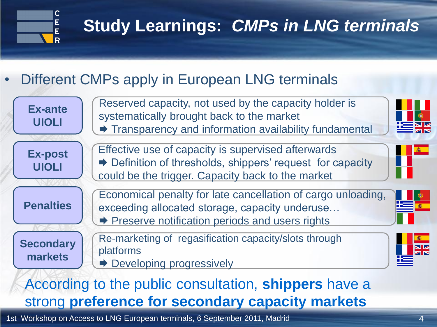

# **Study Learnings:** *CMPs in LNG terminals*

#### Different CMPs apply in European LNG terminals



#### According to the public consultation, **shippers** have a strong **preference for secondary capacity markets**

1st Workshop on Access to LNG European terminals, 6 September 2011, Madrid 4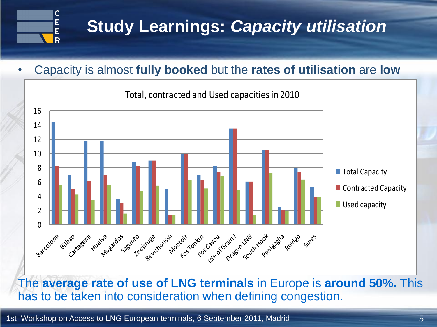

## **Study Learnings:** *Capacity utilisation*

• Capacity is almost **fully booked** but the **rates of utilisation** are **low**



The **average rate of use of LNG terminals** in Europe is **around 50%.** This has to be taken into consideration when defining congestion.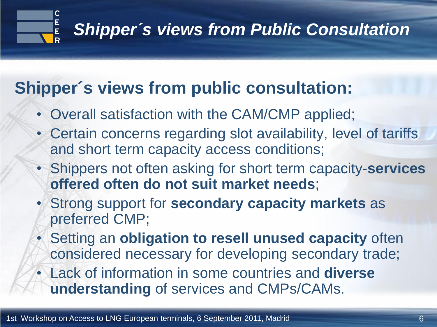

### **Shipper´s views from public consultation:**

- Overall satisfaction with the CAM/CMP applied;
- Certain concerns regarding slot availability, level of tariffs and short term capacity access conditions;
- Shippers not often asking for short term capacity-**services offered often do not suit market needs**;
- Strong support for **secondary capacity markets** as preferred CMP;
- Setting an **obligation to resell unused capacity** often considered necessary for developing secondary trade;
- Lack of information in some countries and **diverse understanding** of services and CMPs/CAMs.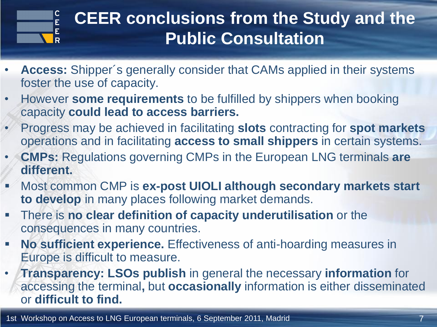

## **CEER conclusions from the Study and the Public Consultation**

- **Access:** Shipper´s generally consider that CAMs applied in their systems foster the use of capacity.
- However **some requirements** to be fulfilled by shippers when booking capacity **could lead to access barriers.**
- Progress may be achieved in facilitating **slots** contracting for **spot markets**  operations and in facilitating **access to small shippers** in certain systems.
- **CMPs:** Regulations governing CMPs in the European LNG terminals **are different.**
- Most common CMP is **ex-post UIOLI although secondary markets start to develop** in many places following market demands.
- There is **no clear definition of capacity underutilisation** or the consequences in many countries.
- **No sufficient experience.** Effectiveness of anti-hoarding measures in Europe is difficult to measure.
- **Transparency: LSOs publish** in general the necessary **information** for accessing the terminal**,** but **occasionally** information is either disseminated or **difficult to find.**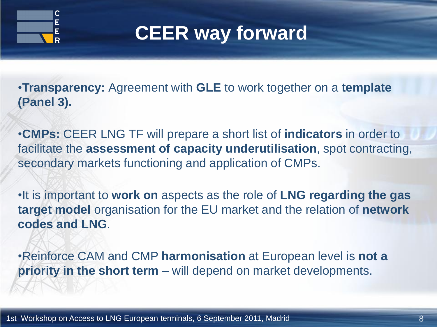

# **CEER way forward**

•**Transparency:** Agreement with **GLE** to work together on a **template (Panel 3).**

•**CMPs:** CEER LNG TF will prepare a short list of **indicators** in order to facilitate the **assessment of capacity underutilisation**, spot contracting, secondary markets functioning and application of CMPs.

•It is important to **work on** aspects as the role of **LNG regarding the gas target model** organisation for the EU market and the relation of **network codes and LNG**.

•Reinforce CAM and CMP **harmonisation** at European level is **not a priority in the short term** – will depend on market developments.